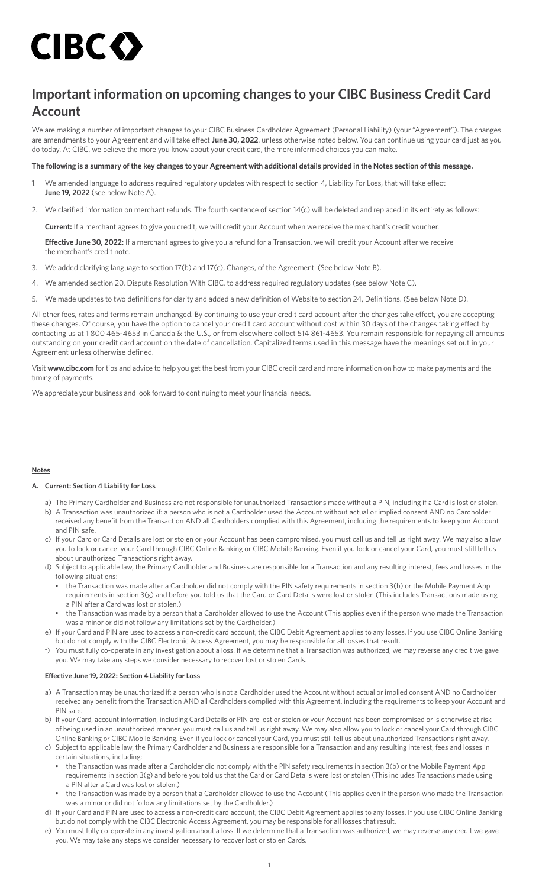# CIBC O

# **Important information on upcoming changes to your CIBC Business Credit Card Account**

We are making a number of important changes to your CIBC Business Cardholder Agreement (Personal Liability) (your "Agreement"). The changes are amendments to your Agreement and will take effect **June 30, 2022**, unless otherwise noted below. You can continue using your card just as you do today. At CIBC, we believe the more you know about your credit card, the more informed choices you can make.

# **The following is a summary of the key changes to your Agreement with additional details provided in the Notes section of this message.**

- 1. We amended language to address required regulatory updates with respect to section 4, Liability For Loss, that will take effect **June 19, 2022** (see below Note A).
- 2. We clarified information on merchant refunds. The fourth sentence of section 14(c) will be deleted and replaced in its entirety as follows:

**Current:** If a merchant agrees to give you credit, we will credit your Account when we receive the merchant's credit voucher.

**Effective June 30, 2022:** If a merchant agrees to give you a refund for a Transaction, we will credit your Account after we receive the merchant's credit note.

- 3. We added clarifying language to section 17(b) and 17(c), Changes, of the Agreement. (See below Note B).
- 4. We amended section 20, Dispute Resolution With CIBC, to address required regulatory updates (see below Note C).
- 5. We made updates to two definitions for clarity and added a new definition of Website to section 24, Definitions. (See below Note D).

All other fees, rates and terms remain unchanged. By continuing to use your credit card account after the changes take effect, you are accepting these changes. Of course, you have the option to cancel your credit card account without cost within 30 days of the changes taking effect by contacting us at 1 800 465-4653 in Canada & the U.S., or from elsewhere collect 514 861-4653. You remain responsible for repaying all amounts outstanding on your credit card account on the date of cancellation. Capitalized terms used in this message have the meanings set out in your Agreement unless otherwise defined.

Visit **[www.cibc.com](http://www.cibc.com)** for tips and advice to help you get the best from your CIBC credit card and more information on how to make payments and the timing of payments.

We appreciate your business and look forward to continuing to meet your financial needs.

# **Notes**

# **A. Current: Section 4 Liability for Loss**

- a) The Primary Cardholder and Business are not responsible for unauthorized Transactions made without a PIN, including if a Card is lost or stolen. b) A Transaction was unauthorized if: a person who is not a Cardholder used the Account without actual or implied consent AND no Cardholder
- received any benefit from the Transaction AND all Cardholders complied with this Agreement, including the requirements to keep your Account and PIN safe.
- c) If your Card or Card Details are lost or stolen or your Account has been compromised, you must call us and tell us right away. We may also allow you to lock or cancel your Card through CIBC Online Banking or CIBC Mobile Banking. Even if you lock or cancel your Card, you must still tell us about unauthorized Transactions right away.
- d) Subject to applicable law, the Primary Cardholder and Business are responsible for a Transaction and any resulting interest, fees and losses in the following situations:
	- the Transaction was made after a Cardholder did not comply with the PIN safety requirements in section 3(b) or the Mobile Payment App requirements in section 3(g) and before you told us that the Card or Card Details were lost or stolen (This includes Transactions made using a PIN after a Card was lost or stolen.)
	- the Transaction was made by a person that a Cardholder allowed to use the Account (This applies even if the person who made the Transaction was a minor or did not follow any limitations set by the Cardholder.)
- e) If your Card and PIN are used to access a non-credit card account, the CIBC Debit Agreement applies to any losses. If you use CIBC Online Banking but do not comply with the CIBC Electronic Access Agreement, you may be responsible for all losses that result.
- f) You must fully co-operate in any investigation about a loss. If we determine that a Transaction was authorized, we may reverse any credit we gave you. We may take any steps we consider necessary to recover lost or stolen Cards.

# **Effective June 19, 2022: Section 4 Liability for Loss**

- a) A Transaction may be unauthorized if: a person who is not a Cardholder used the Account without actual or implied consent AND no Cardholder received any benefit from the Transaction AND all Cardholders complied with this Agreement, including the requirements to keep your Account and PIN safe.
- b) If your Card, account information, including Card Details or PIN are lost or stolen or your Account has been compromised or is otherwise at risk of being used in an unauthorized manner, you must call us and tell us right away. We may also allow you to lock or cancel your Card through CIBC Online Banking or CIBC Mobile Banking. Even if you lock or cancel your Card, you must still tell us about unauthorized Transactions right away.
- c) Subject to applicable law, the Primary Cardholder and Business are responsible for a Transaction and any resulting interest, fees and losses in certain situations, including:
	- the Transaction was made after a Cardholder did not comply with the PIN safety requirements in section 3(b) or the Mobile Payment App requirements in section 3(g) and before you told us that the Card or Card Details were lost or stolen (This includes Transactions made using a PIN after a Card was lost or stolen.)
	- the Transaction was made by a person that a Cardholder allowed to use the Account (This applies even if the person who made the Transaction was a minor or did not follow any limitations set by the Cardholder.)
- d) If your Card and PIN are used to access a non-credit card account, the CIBC Debit Agreement applies to any losses. If you use CIBC Online Banking but do not comply with the CIBC Electronic Access Agreement, you may be responsible for all losses that result.
- e) You must fully co-operate in any investigation about a loss. If we determine that a Transaction was authorized, we may reverse any credit we gave you. We may take any steps we consider necessary to recover lost or stolen Cards.